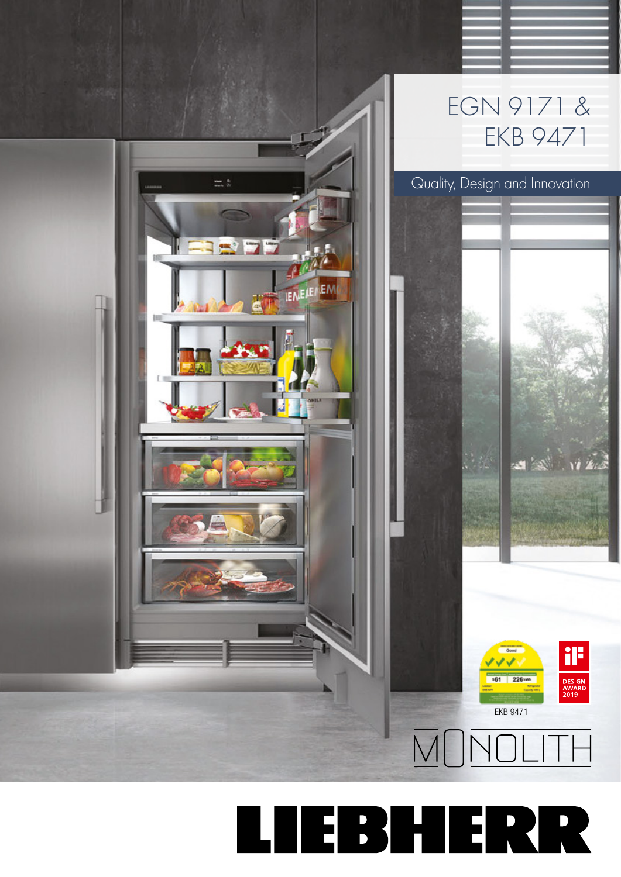

**TEBHERR** Щ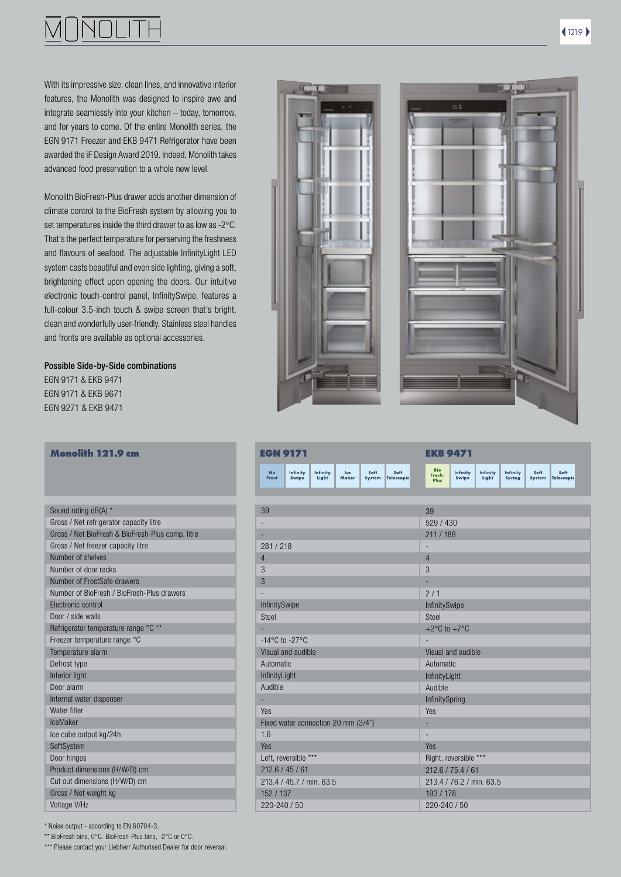With its impressive size, clean lines, and innovative interior features, the Monolith was designed to inspire awe and integrate seamlessly into your kitchen – today, tomorrow, and for years to come. Of the entire Monolith series, the EGN 9171 Freezer and EKB 9471 Refrigerator have been awarded the iF Design Award 2019. Indeed, Monolith takes advanced food preservation to a whole new level.

Monolith BioFresh-Plus drawer adds another dimension of climate control to the BioFresh system by allowing you to set temperatures inside the third drawer to as low as -2°C. That's the perfect temperature for perserving the freshness and flavours of seafood. The adjustable InfinityLight LED system casts beautiful and even side lighting, giving a soft, brightening effect upon opening the doors. Our intuitive electronic touch-control panel, InfinitySwipe, features a full-colour 3.5-inch touch & swipe screen that's bright, clean and wonderfully user-friendly. Stainless steel handles and fronts are available as optional accessories.

### Possible Side-by-Side combinations

EGN 9171 & EKB 9471 EGN 9171 & EKB 9671 EGN 9271 & EKB 9471

| Monolith 121.9 cm |  |
|-------------------|--|
|-------------------|--|

| Sound rating dB(A) *                             |  |
|--------------------------------------------------|--|
| Gross / Net refrigerator capacity litre          |  |
| Gross / Net BioFresh & BioFresh-Plus comp. litre |  |
| Gross / Net freezer capacity litre               |  |
| Number of shelves                                |  |
| Number of door racks                             |  |
| Number of FrostSafe drawers                      |  |
| Number of BioFresh / BioFresh-Plus drawers       |  |
| Flectronic control                               |  |
| Door / side walls                                |  |
| Refrigerator temperature range °C **             |  |
| Freezer temperature range °C                     |  |
| Temperature alarm                                |  |
| Defrost type                                     |  |
| Interior light                                   |  |
| Door alarm                                       |  |
| Internal water dispenser                         |  |
| Water filter                                     |  |
| IceMaker                                         |  |
| Ice cube output kg/24h                           |  |
| SoftSystem                                       |  |
| Door hinges                                      |  |
| Product dimensions (H/W/D) cm                    |  |
| Cut out dimensions (H/W/D) cm                    |  |
| Gross / Net weight kg                            |  |
| Voltage V/Hz                                     |  |
|                                                  |  |





| <b>Monolith 121.9 cm</b>                         |                    | <b>EGN 9171</b>                     |                   |              |                |                    |                                  | <b>EKB 9471</b>       |                          |                           |                |                    |  |
|--------------------------------------------------|--------------------|-------------------------------------|-------------------|--------------|----------------|--------------------|----------------------------------|-----------------------|--------------------------|---------------------------|----------------|--------------------|--|
|                                                  | <b>No</b><br>Frost | Infinity<br>Swipe                   | Infinity<br>Light | Ice<br>Maker | Soft<br>System | Soft<br>Telescopic | <b>Bio</b><br>Fresh-<br>Plus     | Infinity<br>Swipe     | <b>Infinity</b><br>Light | <b>Infinity</b><br>Spring | Soft<br>System | Soft<br>Telescopic |  |
|                                                  |                    |                                     |                   |              |                |                    |                                  |                       |                          |                           |                |                    |  |
| Sound rating dB(A) *                             | 39                 |                                     |                   |              |                |                    | 39                               |                       |                          |                           |                |                    |  |
| Gross / Net refrigerator capacity litre          |                    |                                     |                   |              |                |                    | 529/430                          |                       |                          |                           |                |                    |  |
| Gross / Net BioFresh & BioFresh-Plus comp. litre |                    |                                     |                   |              |                |                    | 211 / 188                        |                       |                          |                           |                |                    |  |
| Gross / Net freezer capacity litre               | 281 / 218          |                                     |                   |              |                |                    |                                  |                       |                          |                           |                |                    |  |
| Number of shelves                                | $\overline{4}$     |                                     |                   |              |                |                    | $\overline{4}$                   |                       |                          |                           |                |                    |  |
| Number of door racks                             | 3                  |                                     |                   |              |                |                    | 3                                |                       |                          |                           |                |                    |  |
| Number of FrostSafe drawers                      | 3                  |                                     |                   |              |                |                    |                                  |                       |                          |                           |                |                    |  |
| Number of BioFresh / BioFresh-Plus drawers       |                    |                                     |                   |              |                |                    | 2/1                              |                       |                          |                           |                |                    |  |
| Electronic control                               | InfinitySwipe      |                                     |                   |              |                |                    | InfinitySwipe                    |                       |                          |                           |                |                    |  |
| Door / side walls                                | <b>Steel</b>       |                                     |                   |              |                |                    | <b>Steel</b>                     |                       |                          |                           |                |                    |  |
| Refrigerator temperature range °C **             |                    |                                     |                   |              |                |                    | +2 $\degree$ C to +7 $\degree$ C |                       |                          |                           |                |                    |  |
| Freezer temperature range °C                     |                    | $-14^{\circ}$ C to $-27^{\circ}$ C  |                   |              |                |                    |                                  |                       |                          |                           |                |                    |  |
| Temperature alarm                                |                    | Visual and audible                  |                   |              |                |                    |                                  | Visual and audible    |                          |                           |                |                    |  |
| Defrost type                                     | Automatic          |                                     |                   |              |                |                    | Automatic                        |                       |                          |                           |                |                    |  |
| Interior light                                   | InfinityLight      |                                     |                   |              |                |                    | InfinityLight                    |                       |                          |                           |                |                    |  |
| Door alarm                                       | Audible            |                                     |                   |              |                |                    | Audible                          |                       |                          |                           |                |                    |  |
| Internal water dispenser                         |                    |                                     |                   |              |                |                    | InfinitySpring                   |                       |                          |                           |                |                    |  |
| Water filter                                     | Yes                |                                     |                   |              |                |                    | Yes                              |                       |                          |                           |                |                    |  |
| <b>IceMaker</b>                                  |                    | Fixed water connection 20 mm (3/4") |                   |              |                |                    |                                  |                       |                          |                           |                |                    |  |
| Ice cube output kg/24h                           | 1.6                |                                     |                   |              |                |                    | ÷,                               |                       |                          |                           |                |                    |  |
| SoftSystem                                       | Yes                |                                     |                   |              |                |                    | Yes                              |                       |                          |                           |                |                    |  |
| Door hinges                                      |                    | Left. reversible ***                |                   |              |                |                    |                                  | Right, reversible *** |                          |                           |                |                    |  |
| Product dimensions (H/W/D) cm                    |                    | 212.6 / 45 / 61                     |                   |              |                |                    |                                  | 212.6 / 75.4 / 61     |                          |                           |                |                    |  |
| Cut out dimensions (H/W/D) cm                    |                    | 213.4 / 45.7 / min. 63.5            |                   |              |                |                    |                                  |                       | 213.4 / 76.2 / min. 63.5 |                           |                |                    |  |
| Gross / Net weight kg                            | 152 / 137          |                                     |                   |              |                |                    | 193 / 178                        |                       |                          |                           |                |                    |  |
| Voltage V/Hz                                     | $220 - 240 / 50$   |                                     |                   |              |                |                    | $220 - 240 / 50$                 |                       |                          |                           |                |                    |  |

\* Noise output - according to EN 60704-3.

\*\* BioFresh bins, 0°C. BioFresh-Plus bins, -2°C or 0°C.

\*\*\* Please contact your Liebherr Authorised Dealer for door reversal.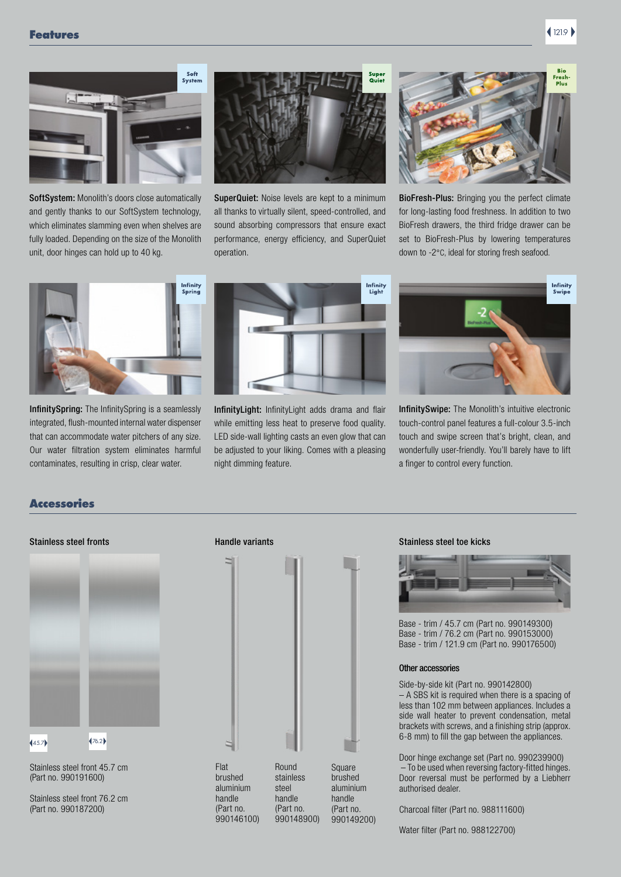

SoftSystem: Monolith's doors close automatically and gently thanks to our SoftSystem technology, which eliminates slamming even when shelves are fully loaded. Depending on the size of the Monolith unit, door hinges can hold up to 40 kg.



SuperQuiet: Noise levels are kept to a minimum all thanks to virtually silent, speed-controlled, and sound absorbing compressors that ensure exact performance, energy efficiency, and SuperQuiet operation.



BioFresh-Plus: Bringing you the perfect climate for long-lasting food freshness. In addition to two BioFresh drawers, the third fridge drawer can be set to BioFresh-Plus by lowering temperatures down to -2°C, ideal for storing fresh seafood.



InfinitySpring: The InfinitySpring is a seamlessly integrated, flush-mounted internal water dispenser that can accommodate water pitchers of any size. Our water filtration system eliminates harmful contaminates, resulting in crisp, clear water.



InfinityLight: InfinityLight adds drama and flair while emitting less heat to preserve food quality. LED side-wall lighting casts an even glow that can be adjusted to your liking. Comes with a pleasing night dimming feature.



InfinitySwipe: The Monolith's intuitive electronic touch-control panel features a full-colour 3.5-inch touch and swipe screen that's bright, clean, and wonderfully user-friendly. You'll barely have to lift a finger to control every function.

## Accessories



Stainless steel front 45.7 cm (Part no. 990191600)

Stainless steel front 76.2 cm (Part no. 990187200)



### Stainless steel fronts **Stainless steel toe kicks** Handle variants Stainless steel toe kicks



Base - trim / 45.7 cm (Part no. 990149300) Base - trim / 76.2 cm (Part no. 990153000) Base - trim / 121.9 cm (Part no. 990176500)

### Other accessories

Side-by-side kit (Part no. 990142800) – A SBS kit is required when there is a spacing of less than 102 mm between appliances. Includes a side wall heater to prevent condensation, metal brackets with screws, and a finishing strip (approx. 6-8 mm) to fill the gap between the appliances.

Door hinge exchange set (Part no. 990239900) – To be used when reversing factory-fitted hinges. Door reversal must be performed by a Liebherr authorised dealer.

Charcoal filter (Part no. 988111600)

Water filter (Part no. 988122700)